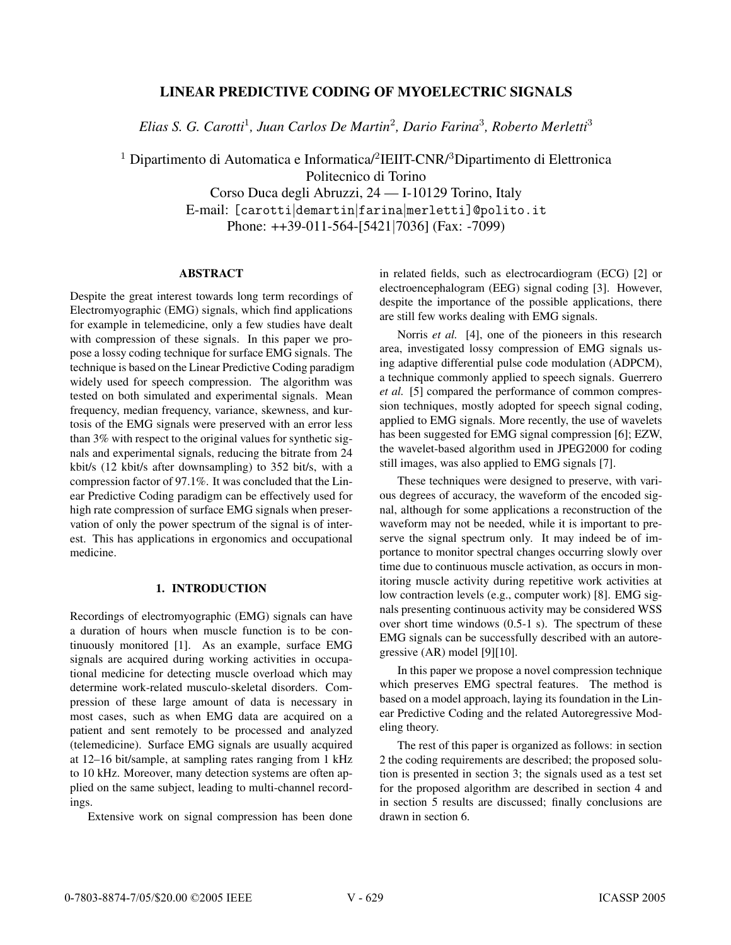# **LINEAR PREDICTIVE CODING OF MYOELECTRIC SIGNALS**

*Elias S. G. Carotti*<sup>1</sup>*, Juan Carlos De Martin*<sup>2</sup>*, Dario Farina*<sup>3</sup>*, Roberto Merletti*<sup>3</sup>

 $^1$  Dipartimento di Automatica e Informatica/ $^2$ IEIIT-CNR/ $^3$ Dipartimento di Elettronica

Politecnico di Torino

Corso Duca degli Abruzzi, 24 — I-10129 Torino, Italy E-mail: [carotti|demartin|farina|merletti]@polito.it Phone: ++39-011-564-[5421|7036] (Fax: -7099)

### **ABSTRACT**

Despite the great interest towards long term recordings of Electromyographic (EMG) signals, which find applications for example in telemedicine, only a few studies have dealt with compression of these signals. In this paper we propose a lossy coding technique for surface EMG signals. The technique is based on the Linear Predictive Coding paradigm widely used for speech compression. The algorithm was tested on both simulated and experimental signals. Mean frequency, median frequency, variance, skewness, and kurtosis of the EMG signals were preserved with an error less than 3% with respect to the original values for synthetic signals and experimental signals, reducing the bitrate from 24 kbit/s (12 kbit/s after downsampling) to 352 bit/s, with a compression factor of 97.1%. It was concluded that the Linear Predictive Coding paradigm can be effectively used for high rate compression of surface EMG signals when preservation of only the power spectrum of the signal is of interest. This has applications in ergonomics and occupational medicine.

#### **1. INTRODUCTION**

Recordings of electromyographic (EMG) signals can have a duration of hours when muscle function is to be continuously monitored [1]. As an example, surface EMG signals are acquired during working activities in occupational medicine for detecting muscle overload which may determine work-related musculo-skeletal disorders. Compression of these large amount of data is necessary in most cases, such as when EMG data are acquired on a patient and sent remotely to be processed and analyzed (telemedicine). Surface EMG signals are usually acquired at 12–16 bit/sample, at sampling rates ranging from 1 kHz to 10 kHz. Moreover, many detection systems are often applied on the same subject, leading to multi-channel recordings.

Extensive work on signal compression has been done

in related fields, such as electrocardiogram (ECG) [2] or electroencephalogram (EEG) signal coding [3]. However, despite the importance of the possible applications, there are still few works dealing with EMG signals.

Norris *et al.* [4], one of the pioneers in this research area, investigated lossy compression of EMG signals using adaptive differential pulse code modulation (ADPCM), a technique commonly applied to speech signals. Guerrero *et al.* [5] compared the performance of common compression techniques, mostly adopted for speech signal coding, applied to EMG signals. More recently, the use of wavelets has been suggested for EMG signal compression [6]; EZW, the wavelet-based algorithm used in JPEG2000 for coding still images, was also applied to EMG signals [7].

These techniques were designed to preserve, with various degrees of accuracy, the waveform of the encoded signal, although for some applications a reconstruction of the waveform may not be needed, while it is important to preserve the signal spectrum only. It may indeed be of importance to monitor spectral changes occurring slowly over time due to continuous muscle activation, as occurs in monitoring muscle activity during repetitive work activities at low contraction levels (e.g., computer work) [8]. EMG signals presenting continuous activity may be considered WSS over short time windows (0.5-1 s). The spectrum of these EMG signals can be successfully described with an autoregressive (AR) model [9][10].

In this paper we propose a novel compression technique which preserves EMG spectral features. The method is based on a model approach, laying its foundation in the Linear Predictive Coding and the related Autoregressive Modeling theory.

The rest of this paper is organized as follows: in section 2 the coding requirements are described; the proposed solution is presented in section 3; the signals used as a test set for the proposed algorithm are described in section 4 and in section 5 results are discussed; finally conclusions are drawn in section 6.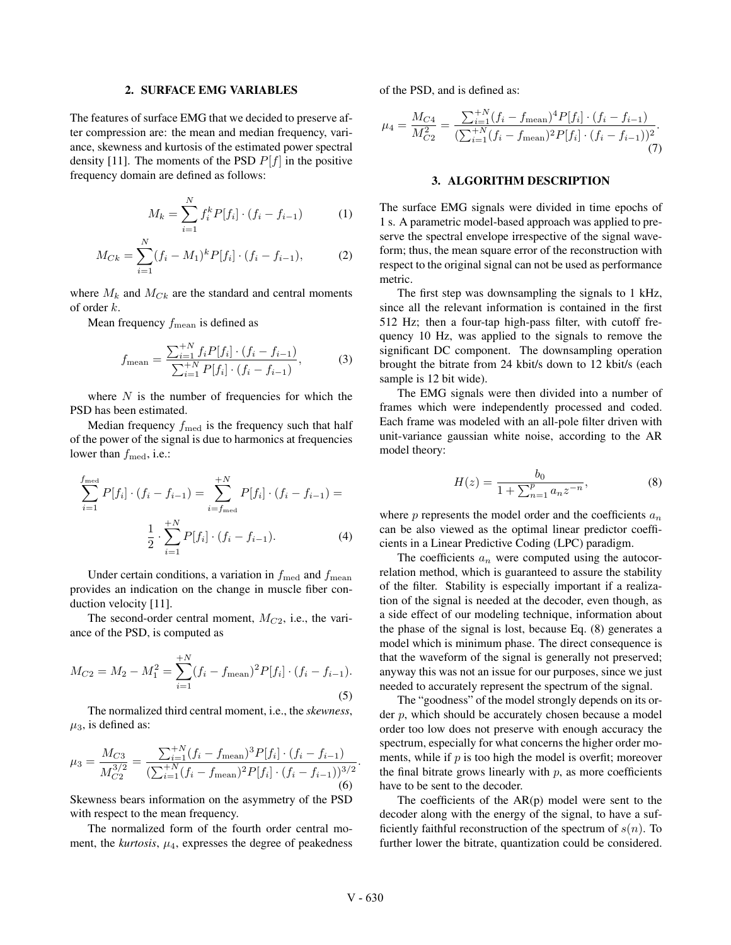#### **2. SURFACE EMG VARIABLES**

The features of surface EMG that we decided to preserve after compression are: the mean and median frequency, variance, skewness and kurtosis of the estimated power spectral density [11]. The moments of the PSD  $P[f]$  in the positive frequency domain are defined as follows:

$$
M_k = \sum_{i=1}^{N} f_i^k P[f_i] \cdot (f_i - f_{i-1}) \tag{1}
$$

$$
M_{Ck} = \sum_{i=1}^{N} (f_i - M_1)^k P[f_i] \cdot (f_i - f_{i-1}), \tag{2}
$$

where  $M_k$  and  $M_{C_k}$  are the standard and central moments of order k.

Mean frequency  $f_{\text{mean}}$  is defined as

$$
f_{\text{mean}} = \frac{\sum_{i=1}^{+N} f_i P[f_i] \cdot (f_i - f_{i-1})}{\sum_{i=1}^{+N} P[f_i] \cdot (f_i - f_{i-1})},\tag{3}
$$

where  $N$  is the number of frequencies for which the PSD has been estimated.

Median frequency  $f_{\text{med}}$  is the frequency such that half of the power of the signal is due to harmonics at frequencies lower than  $f_{\text{med}}$ , i.e.:

$$
\sum_{i=1}^{f_{\text{med}}} P[f_i] \cdot (f_i - f_{i-1}) = \sum_{i=f_{\text{med}}}^{+N} P[f_i] \cdot (f_i - f_{i-1}) =
$$

$$
\frac{1}{2} \cdot \sum_{i=1}^{+N} P[f_i] \cdot (f_i - f_{i-1}). \tag{4}
$$

Under certain conditions, a variation in  $f_{\text{med}}$  and  $f_{\text{mean}}$ provides an indication on the change in muscle fiber conduction velocity [11].

The second-order central moment,  $M_{C2}$ , i.e., the variance of the PSD, is computed as

$$
M_{C2} = M_2 - M_1^2 = \sum_{i=1}^{+N} (f_i - f_{\text{mean}})^2 P[f_i] \cdot (f_i - f_{i-1}).
$$
\n(5)

The normalized third central moment, i.e., the *skewness*,  $\mu_3$ , is defined as:

$$
\mu_3 = \frac{M_{C3}}{M_{C2}^{3/2}} = \frac{\sum_{i=1}^{+N} (f_i - f_{\text{mean}})^3 P[f_i] \cdot (f_i - f_{i-1})}{(\sum_{i=1}^{+N} (f_i - f_{\text{mean}})^2 P[f_i] \cdot (f_i - f_{i-1}))^{3/2}}.
$$
\n(6)

Skewness bears information on the asymmetry of the PSD with respect to the mean frequency.

The normalized form of the fourth order central moment, the *kurtosis*,  $\mu_4$ , expresses the degree of peakedness of the PSD, and is defined as:

$$
\mu_4 = \frac{M_{C4}}{M_{C2}^2} = \frac{\sum_{i=1}^{+N} (f_i - f_{\text{mean}})^4 P[f_i] \cdot (f_i - f_{i-1})}{(\sum_{i=1}^{+N} (f_i - f_{\text{mean}})^2 P[f_i] \cdot (f_i - f_{i-1}))^2}.
$$
\n(7)

### **3. ALGORITHM DESCRIPTION**

The surface EMG signals were divided in time epochs of 1 s. A parametric model-based approach was applied to preserve the spectral envelope irrespective of the signal waveform; thus, the mean square error of the reconstruction with respect to the original signal can not be used as performance metric.

The first step was downsampling the signals to 1 kHz, since all the relevant information is contained in the first 512 Hz; then a four-tap high-pass filter, with cutoff frequency 10 Hz, was applied to the signals to remove the significant DC component. The downsampling operation brought the bitrate from 24 kbit/s down to 12 kbit/s (each sample is 12 bit wide).

The EMG signals were then divided into a number of frames which were independently processed and coded. Each frame was modeled with an all-pole filter driven with unit-variance gaussian white noise, according to the AR model theory:

$$
H(z) = \frac{b_0}{1 + \sum_{n=1}^{p} a_n z^{-n}},
$$
\n(8)

where  $p$  represents the model order and the coefficients  $a_n$ can be also viewed as the optimal linear predictor coefficients in a Linear Predictive Coding (LPC) paradigm.

The coefficients  $a_n$  were computed using the autocorrelation method, which is guaranteed to assure the stability of the filter. Stability is especially important if a realization of the signal is needed at the decoder, even though, as a side effect of our modeling technique, information about the phase of the signal is lost, because Eq. (8) generates a model which is minimum phase. The direct consequence is that the waveform of the signal is generally not preserved; anyway this was not an issue for our purposes, since we just needed to accurately represent the spectrum of the signal.

The "goodness" of the model strongly depends on its order  $p$ , which should be accurately chosen because a model order too low does not preserve with enough accuracy the spectrum, especially for what concerns the higher order moments, while if  $p$  is too high the model is overfit; moreover the final bitrate grows linearly with  $p$ , as more coefficients have to be sent to the decoder.

The coefficients of the  $AR(p)$  model were sent to the decoder along with the energy of the signal, to have a sufficiently faithful reconstruction of the spectrum of  $s(n)$ . To further lower the bitrate, quantization could be considered.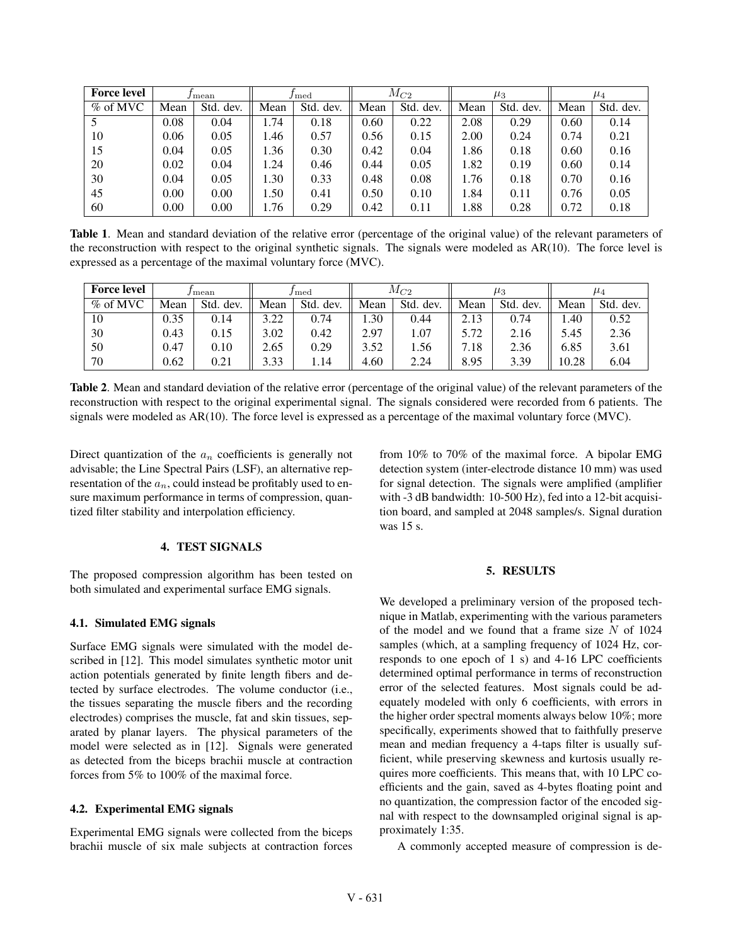| <b>Force level</b> | J mean |           | $/\text{med}$ |           | $M_{C2}$ |           | $\mu_3$ |           | $\mu_4$ |           |
|--------------------|--------|-----------|---------------|-----------|----------|-----------|---------|-----------|---------|-----------|
| $%$ of MVC         | Mean   | Std. dev. | Mean          | Std. dev. | Mean     | Std. dev. | Mean    | Std. dev. | Mean    | Std. dev. |
|                    | 0.08   | 0.04      | .74           | 0.18      | 0.60     | 0.22      | 2.08    | 0.29      | 0.60    | 0.14      |
| 10                 | 0.06   | 0.05      | .46           | 0.57      | 0.56     | 0.15      | 2.00    | 0.24      | 0.74    | 0.21      |
| 15                 | 0.04   | 0.05      | .36           | 0.30      | 0.42     | 0.04      | 1.86    | 0.18      | 0.60    | 0.16      |
| 20                 | 0.02   | 0.04      | .24           | 0.46      | 0.44     | 0.05      | l.82    | 0.19      | 0.60    | 0.14      |
| 30                 | 0.04   | 0.05      | .30           | 0.33      | 0.48     | 0.08      | 1.76    | 0.18      | 0.70    | 0.16      |
| 45                 | 0.00   | 0.00      | .50           | 0.41      | 0.50     | 0.10      | 1.84    | 0.11      | 0.76    | 0.05      |
| 60                 | 0.00   | 0.00      | .76           | 0.29      | 0.42     | 0.11      | 1.88    | 0.28      | 0.72    | 0.18      |

**Table 1**. Mean and standard deviation of the relative error (percentage of the original value) of the relevant parameters of the reconstruction with respect to the original synthetic signals. The signals were modeled as  $AR(10)$ . The force level is expressed as a percentage of the maximal voluntary force (MVC).

| <b>Force level</b> | mean |              | med          |              | $M_{C2}$ |              | $\mu_3$ |              | $\mu_4$ |           |
|--------------------|------|--------------|--------------|--------------|----------|--------------|---------|--------------|---------|-----------|
| $\%$ of MVC        | Mean | Std.<br>dev. | Mean         | Std.<br>dev. | Mean     | Std.<br>dev. | Mean    | Std.<br>dev. | Mean    | Std. dev. |
| 10                 | 0.35 | 0.14         | 222<br>∟⊿ں ر | 0.74         | .30      | 0.44         | 2.13    | 0.74         | 1.40    | 0.52      |
| 30                 | 0.43 | 0.15         | 3.02         | 0.42         | 2.97     | . 07         | 5.72    | 2.16         | 5.45    | 2.36      |
| 50                 | 0.47 | 0.10         | 2.65         | 0.29         | 3.52     | 1.56         | 7.18    | 2.36         | 6.85    | 3.61      |
| 70                 | 0.62 | 0.21         | 3.33         | 1.14         | 4.60     | 2.24         | 8.95    | 3.39         | 10.28   | 6.04      |

**Table 2**. Mean and standard deviation of the relative error (percentage of the original value) of the relevant parameters of the reconstruction with respect to the original experimental signal. The signals considered were recorded from 6 patients. The signals were modeled as AR(10). The force level is expressed as a percentage of the maximal voluntary force (MVC).

Direct quantization of the  $a_n$  coefficients is generally not advisable; the Line Spectral Pairs (LSF), an alternative representation of the  $a_n$ , could instead be profitably used to ensure maximum performance in terms of compression, quantized filter stability and interpolation efficiency.

### **4. TEST SIGNALS**

The proposed compression algorithm has been tested on both simulated and experimental surface EMG signals.

### **4.1. Simulated EMG signals**

Surface EMG signals were simulated with the model described in [12]. This model simulates synthetic motor unit action potentials generated by finite length fibers and detected by surface electrodes. The volume conductor (i.e., the tissues separating the muscle fibers and the recording electrodes) comprises the muscle, fat and skin tissues, separated by planar layers. The physical parameters of the model were selected as in [12]. Signals were generated as detected from the biceps brachii muscle at contraction forces from 5% to 100% of the maximal force.

#### **4.2. Experimental EMG signals**

Experimental EMG signals were collected from the biceps brachii muscle of six male subjects at contraction forces from 10% to 70% of the maximal force. A bipolar EMG detection system (inter-electrode distance 10 mm) was used for signal detection. The signals were amplified (amplifier with -3 dB bandwidth: 10-500 Hz), fed into a 12-bit acquisition board, and sampled at 2048 samples/s. Signal duration was 15 s.

### **5. RESULTS**

We developed a preliminary version of the proposed technique in Matlab, experimenting with the various parameters of the model and we found that a frame size  $N$  of 1024 samples (which, at a sampling frequency of 1024 Hz, corresponds to one epoch of 1 s) and 4-16 LPC coefficients determined optimal performance in terms of reconstruction error of the selected features. Most signals could be adequately modeled with only 6 coefficients, with errors in the higher order spectral moments always below 10%; more specifically, experiments showed that to faithfully preserve mean and median frequency a 4-taps filter is usually sufficient, while preserving skewness and kurtosis usually requires more coefficients. This means that, with 10 LPC coefficients and the gain, saved as 4-bytes floating point and no quantization, the compression factor of the encoded signal with respect to the downsampled original signal is approximately 1:35.

A commonly accepted measure of compression is de-